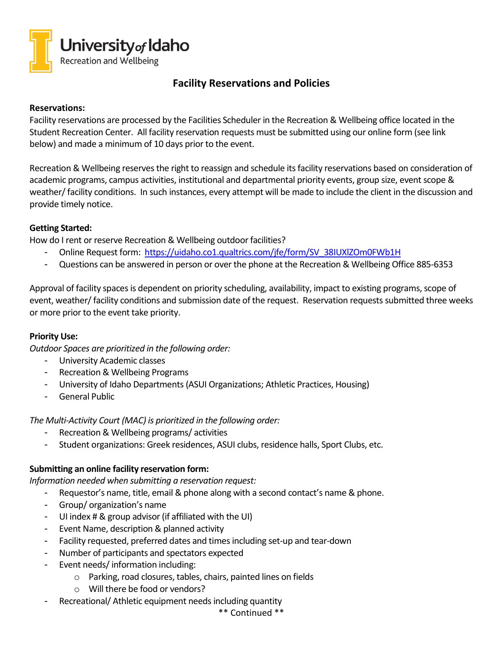

# **Facility Reservations and Policies**

#### **Reservations:**

Facility reservations are processed by the Facilities Scheduler in the Recreation & Wellbeing office located in the Student Recreation Center. All facility reservation requests must be submitted using our online form (see link below) and made a minimum of 10 days prior to the event.

Recreation & Wellbeing reserves the right to reassign and schedule its facility reservations based on consideration of academic programs, campus activities, institutional and departmental priority events, group size, event scope & weather/ facility conditions. In such instances, every attempt will be made to include the client in the discussion and provide timely notice.

## **Getting Started:**

How do I rent or reserve Recreation & Wellbeing outdoor facilities?

- Online Request form: [https://uidaho.co1.qualtrics.com/jfe/form/SV\\_38IUXlZOm0FWb1H](https://uidaho.co1.qualtrics.com/jfe/form/SV_38IUXlZOm0FWb1H)
- Questions can be answered in person or over the phone at the Recreation & Wellbeing Office 885-6353

Approval of facility spaces is dependent on priority scheduling, availability, impact to existing programs, scope of event, weather/ facility conditions and submission date of the request. Reservation requests submitted three weeks or more prior to the event take priority.

## **Priority Use:**

*Outdoor Spaces are prioritized in the following order:*

- University Academic classes
- Recreation & Wellbeing Programs
- University of Idaho Departments (ASUI Organizations; Athletic Practices, Housing)
- General Public

*The Multi-Activity Court (MAC) is prioritized in the following order:*

- Recreation & Wellbeing programs/activities
- Student organizations: Greek residences, ASUI clubs, residence halls, Sport Clubs, etc.

## **Submitting an online facility reservation form:**

*Information needed when submitting a reservation request:*

- Requestor's name, title, email & phone along with a second contact's name & phone.
- Group/ organization's name
- UI index # & group advisor (if affiliated with the UI)
- Event Name, description & planned activity
- Facility requested, preferred dates and times including set-up and tear-down
- Number of participants and spectators expected
- Event needs/ information including:
	- o Parking, road closures, tables, chairs, painted lines on fields
	- o Will there be food or vendors?
- Recreational/ Athletic equipment needs including quantity

\*\* Continued \*\*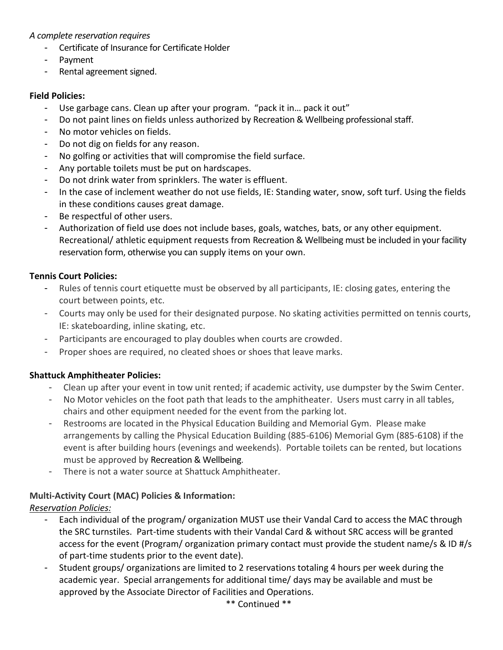#### *A complete reservation requires*

- Certificate of Insurance for Certificate Holder
- Payment
- Rental agreement signed.

#### **Field Policies:**

- Use garbage cans. Clean up after your program. "pack it in... pack it out"
- Do not paint lines on fields unless authorized by Recreation & Wellbeing professional staff.
- No motor vehicles on fields.
- Do not dig on fields for any reason.
- No golfing or activities that will compromise the field surface.
- Any portable toilets must be put on hardscapes.
- Do not drink water from sprinklers. The water is effluent.
- In the case of inclement weather do not use fields, IE: Standing water, snow, soft turf. Using the fields in these conditions causes great damage.
- Be respectful of other users.
- Authorization of field use does not include bases, goals, watches, bats, or any other equipment. Recreational/ athletic equipment requests from Recreation & Wellbeing must be included in your facility reservation form, otherwise you can supply items on your own.

## **Tennis Court Policies:**

- Rules of tennis court etiquette must be observed by all participants, IE: closing gates, entering the court between points, etc.
- Courts may only be used for their designated purpose. No skating activities permitted on tennis courts, IE: skateboarding, inline skating, etc.
- Participants are encouraged to play doubles when courts are crowded.
- Proper shoes are required, no cleated shoes or shoes that leave marks.

## **Shattuck Amphitheater Policies:**

- Clean up after your event in tow unit rented; if academic activity, use dumpster by the Swim Center.
- No Motor vehicles on the foot path that leads to the amphitheater. Users must carry in all tables, chairs and other equipment needed for the event from the parking lot.
- Restrooms are located in the Physical Education Building and Memorial Gym. Please make arrangements by calling the Physical Education Building (885-6106) Memorial Gym (885-6108) if the event is after building hours (evenings and weekends). Portable toilets can be rented, but locations must be approved by Recreation & Wellbeing.
- There is not a water source at Shattuck Amphitheater.

## **Multi-Activity Court (MAC) Policies & Information:**

## *Reservation Policies:*

- Each individual of the program/ organization MUST use their Vandal Card to access the MAC through the SRC turnstiles. Part-time students with their Vandal Card & without SRC access will be granted access for the event (Program/ organization primary contact must provide the student name/s & ID #/s of part-time students prior to the event date).
- Student groups/ organizations are limited to 2 reservations totaling 4 hours per week during the academic year. Special arrangements for additional time/ days may be available and must be approved by the Associate Director of Facilities and Operations.

\*\* Continued \*\*